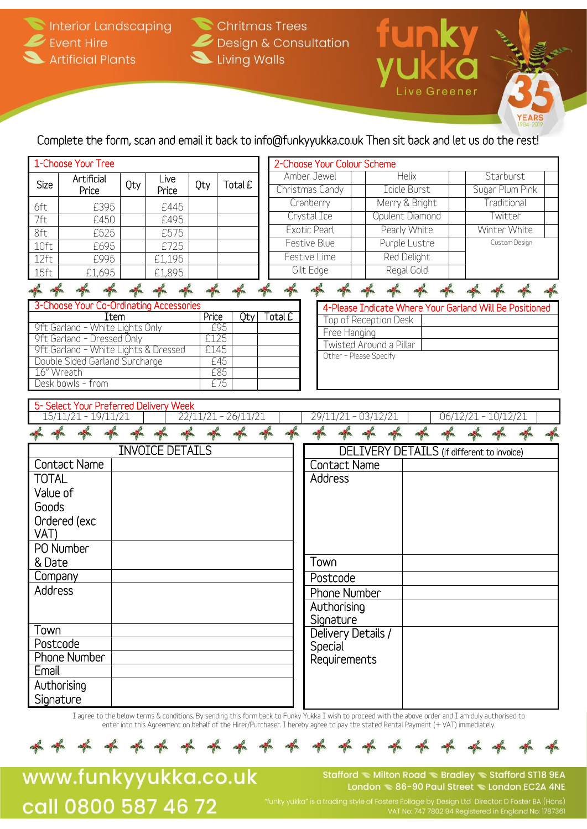Chritmas Trees Design & Consultation Living Walls



fun

Complete the form, scan and email it back to [info@funkyyukka.co.uk T](mailto:info@funkyyukka.co.uk)hen sit back and let us do the rest!

| 1-Choose Your Tree                                                                                 |                     |     |        |     |                     |  | 2-Choose Your Colour Scheme                |                        |                     |  |                     |  |  |
|----------------------------------------------------------------------------------------------------|---------------------|-----|--------|-----|---------------------|--|--------------------------------------------|------------------------|---------------------|--|---------------------|--|--|
|                                                                                                    | Artificial          |     | Live   |     |                     |  | Amber Jewel                                |                        | <b>Helix</b>        |  | Starburst           |  |  |
| <b>Size</b>                                                                                        | Price               | Qty | Price  | Qty | Total £             |  | Christmas Candy                            |                        | <b>Icicle Burst</b> |  | Sugar Plum Pink     |  |  |
| 6ft                                                                                                | £395                |     | £445   |     |                     |  | Cranberry                                  |                        | Merry & Bright      |  | Traditional         |  |  |
| 7ft                                                                                                | £450                |     | £495   |     |                     |  | Crystal Ice                                |                        | Opulent Diamond     |  | Twitter             |  |  |
| 8ft                                                                                                | £525                |     | £575   |     |                     |  | Exotic Pearl                               |                        | Pearly White        |  | Winter White        |  |  |
| 10ft                                                                                               | £695                |     | £725   |     |                     |  | <b>Festive Blue</b>                        |                        | Purple Lustre       |  | Custom Design       |  |  |
| $12$ ft                                                                                            | £995                |     | £1,195 |     |                     |  | Festive Lime                               |                        | Red Delight         |  |                     |  |  |
| 15 <sup>ft</sup>                                                                                   | £1,695              |     | £1,895 |     |                     |  | Gilt Edge                                  |                        | Regal Gold          |  |                     |  |  |
| of of                                                                                              |                     |     |        |     |                     |  |                                            |                        |                     |  |                     |  |  |
| 3-Choose Your Co-Ordinating Accessories<br>4-Please Indicate Where Your Garland Will Be Positioned |                     |     |        |     |                     |  |                                            |                        |                     |  |                     |  |  |
| Price<br>Qty<br>Item                                                                               |                     |     |        |     |                     |  | Total £<br>Top of Reception Desk           |                        |                     |  |                     |  |  |
| 9ft Garland - White Lights Only<br>£95<br>£125<br>9ft Garland - Dressed Only                       |                     |     |        |     |                     |  | Free Hanging                               |                        |                     |  |                     |  |  |
| 9ft Garland - White Lights & Dressed<br>£145                                                       |                     |     |        |     |                     |  | Twisted Around a Pillar                    |                        |                     |  |                     |  |  |
| £45<br>Double Sided Garland Surcharge                                                              |                     |     |        |     |                     |  |                                            | Other - Please Specify |                     |  |                     |  |  |
| 16" Wreath<br>£85                                                                                  |                     |     |        |     |                     |  |                                            |                        |                     |  |                     |  |  |
|                                                                                                    | Desk bowls - from   |     |        |     | £75                 |  |                                            |                        |                     |  |                     |  |  |
| 5- Select Your Preferred Delivery Week                                                             |                     |     |        |     |                     |  |                                            |                        |                     |  |                     |  |  |
|                                                                                                    | 15/11/21 - 19/11/21 |     |        |     | 22/11/21 - 26/11/21 |  |                                            | 29/11/21 - 03/12/21    |                     |  | 06/12/21 - 10/12/21 |  |  |
| $\frac{1}{2}$                                                                                      |                     |     |        |     |                     |  |                                            |                        |                     |  |                     |  |  |
| <b>INVOICE DETAILS</b>                                                                             |                     |     |        |     |                     |  | DELIVERY DETAILS (if different to invoice) |                        |                     |  |                     |  |  |
| Contact Name                                                                                       |                     |     |        |     |                     |  | Contact Name                               |                        |                     |  |                     |  |  |
| <b>TOTAL</b>                                                                                       |                     |     |        |     |                     |  | Address                                    |                        |                     |  |                     |  |  |
| Value of                                                                                           |                     |     |        |     |                     |  |                                            |                        |                     |  |                     |  |  |
| Goods                                                                                              |                     |     |        |     |                     |  |                                            |                        |                     |  |                     |  |  |
|                                                                                                    | Ordered (exc        |     |        |     |                     |  |                                            |                        |                     |  |                     |  |  |
| VAT)                                                                                               |                     |     |        |     |                     |  |                                            |                        |                     |  |                     |  |  |
|                                                                                                    | PO Number           |     |        |     |                     |  |                                            |                        |                     |  |                     |  |  |
| & Date                                                                                             |                     |     |        |     |                     |  | Town                                       |                        |                     |  |                     |  |  |
| Company                                                                                            |                     |     |        |     |                     |  | Postcode                                   |                        |                     |  |                     |  |  |
| Address                                                                                            |                     |     |        |     |                     |  | Phone Number                               |                        |                     |  |                     |  |  |
|                                                                                                    |                     |     |        |     |                     |  | Authorising                                |                        |                     |  |                     |  |  |
|                                                                                                    |                     |     |        |     |                     |  | Signature                                  |                        |                     |  |                     |  |  |
| Town                                                                                               |                     |     |        |     |                     |  | Delivery Details /                         |                        |                     |  |                     |  |  |
| Postcode                                                                                           |                     |     |        |     |                     |  | Special                                    |                        |                     |  |                     |  |  |
| Phone Number                                                                                       |                     |     |        |     |                     |  | Requirements                               |                        |                     |  |                     |  |  |
| Email                                                                                              |                     |     |        |     |                     |  |                                            |                        |                     |  |                     |  |  |
|                                                                                                    | Authorising         |     |        |     |                     |  |                                            |                        |                     |  |                     |  |  |
| Signature                                                                                          |                     |     |        |     |                     |  |                                            |                        |                     |  |                     |  |  |
|                                                                                                    |                     |     |        |     |                     |  |                                            |                        |                     |  |                     |  |  |

I agree to the below terms & conditions. By sending this form back to Funky Yukka I wish to proceed with the above order and I am duly authorised to enter into this Agreement on behalf of the Hirer/Purchaser. I hereby agree to pay the stated Rental Payment (+ VAT) immediately.



www.funkyyukka.co.uk call 0800 587 46 72

Stafford Milton Road Stadley Stafford ST18 9EA London S 86-90 Paul Street S London EC2A 4NE

funky yukka" is a trading style of Fosters Foliage by Design Ltd Director: D Foster BA (Hons)"<br>VAT No: 747 7802 94 Registered in England No: 1787361